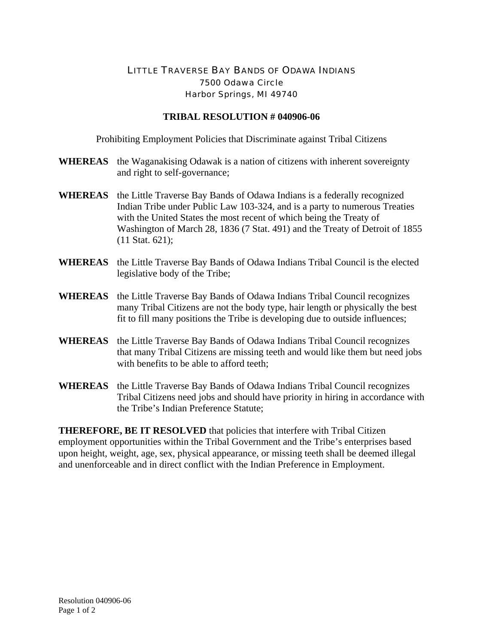## LITTLE TRAVERSE BAY BANDS OF ODAWA INDIANS 7500 Odawa Circle Harbor Springs, MI 49740

## **TRIBAL RESOLUTION # 040906-06**

Prohibiting Employment Policies that Discriminate against Tribal Citizens

- **WHEREAS** the Waganakising Odawak is a nation of citizens with inherent sovereignty and right to self-governance;
- **WHEREAS** the Little Traverse Bay Bands of Odawa Indians is a federally recognized Indian Tribe under Public Law 103-324, and is a party to numerous Treaties with the United States the most recent of which being the Treaty of Washington of March 28, 1836 (7 Stat. 491) and the Treaty of Detroit of 1855 (11 Stat. 621);
- **WHEREAS** the Little Traverse Bay Bands of Odawa Indians Tribal Council is the elected legislative body of the Tribe;
- **WHEREAS** the Little Traverse Bay Bands of Odawa Indians Tribal Council recognizes many Tribal Citizens are not the body type, hair length or physically the best fit to fill many positions the Tribe is developing due to outside influences;
- **WHEREAS** the Little Traverse Bay Bands of Odawa Indians Tribal Council recognizes that many Tribal Citizens are missing teeth and would like them but need jobs with benefits to be able to afford teeth:
- **WHEREAS** the Little Traverse Bay Bands of Odawa Indians Tribal Council recognizes Tribal Citizens need jobs and should have priority in hiring in accordance with the Tribe's Indian Preference Statute;

**THEREFORE, BE IT RESOLVED** that policies that interfere with Tribal Citizen employment opportunities within the Tribal Government and the Tribe's enterprises based upon height, weight, age, sex, physical appearance, or missing teeth shall be deemed illegal and unenforceable and in direct conflict with the Indian Preference in Employment.